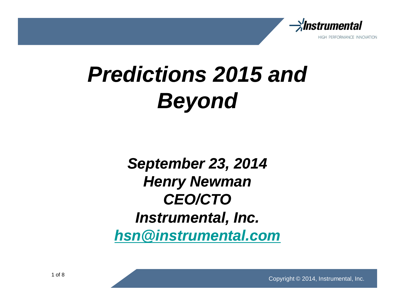

# **Predictions 2015 and Beyond**

**September 23, 2014 Henry Newman CEO/CTO Instrumental, Inc. hsn@instrumental.com**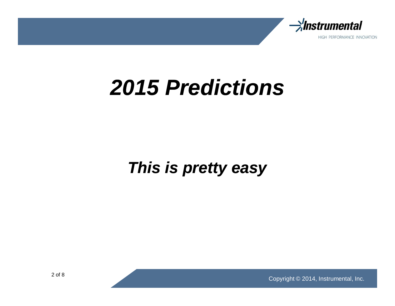

### **2015 Predictions**

### **This is pretty easy**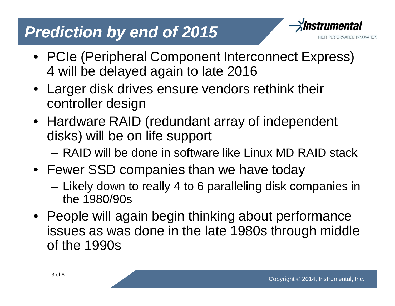#### **Prediction by end of 2015**



- PCIe (Peripheral Component Interconnect Express) 4 will be delayed again to late 2016
- Larger disk drives ensure vendors rethink their controller design
- Hardware RAID (redundant array of independent disks) will be on life support
	- RAID will be done in software like Linux MD RAID stack
- Fewer SSD companies than we have today
	- Likely down to really 4 to 6 paralleling disk companies in the 1980/90s
- People will again begin thinking about performance issues as was done in the late 1980s through middle of the 1990s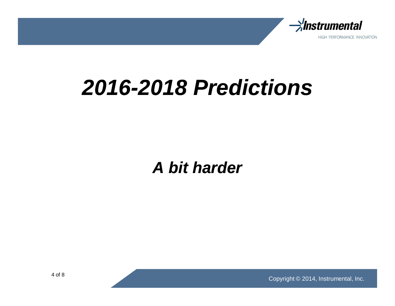

## **2016-2018 Predictions**

**A bit harder**

Copyright © 2014, Instrumental, Inc.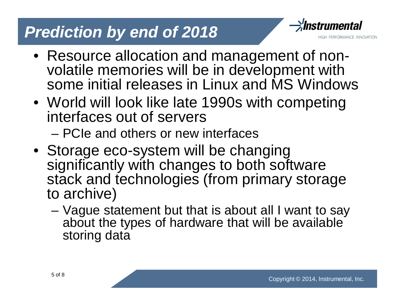#### **Prediction by end of 2018**



- Resource allocation and management of nonvolatile memories will be in development with some initial releases in Linux and MS Windows
- World will look like late 1990s with competing interfaces out of servers
	- PCIe and others or new interfaces
- Storage eco-system will be changing significantly with changes to both software stack and technologies (from primary storage to archive)
	- Vague statement but that is about all I want to say about the types of hardware that will be available storing data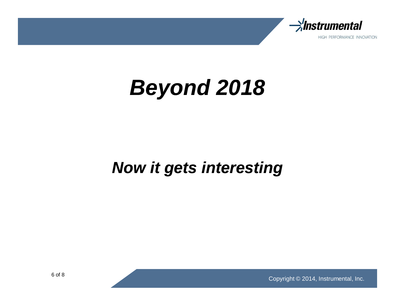

## **Beyond 2018**

#### **Now it gets interesting**

Copyright © 2014, Instrumental, Inc.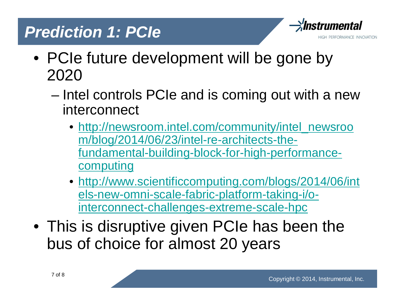#### **Prediction 1: PCIe**



- PCIe future development will be gone by 2020
	- Intel controls PCIe and is coming out with a new interconnect
		- http://newsroom.intel.com/community/intel\_newsroo m/blog/2014/06/23/intel-re-architects-thefundamental-building-block-for-high-performancecomputing
		- http://www.scientificcomputing.com/blogs/2014/06/int els-new-omni-scale-fabric-platform-taking-i/ointerconnect-challenges-extreme-scale-hpc
- This is disruptive given PCIe has been the bus of choice for almost 20 years